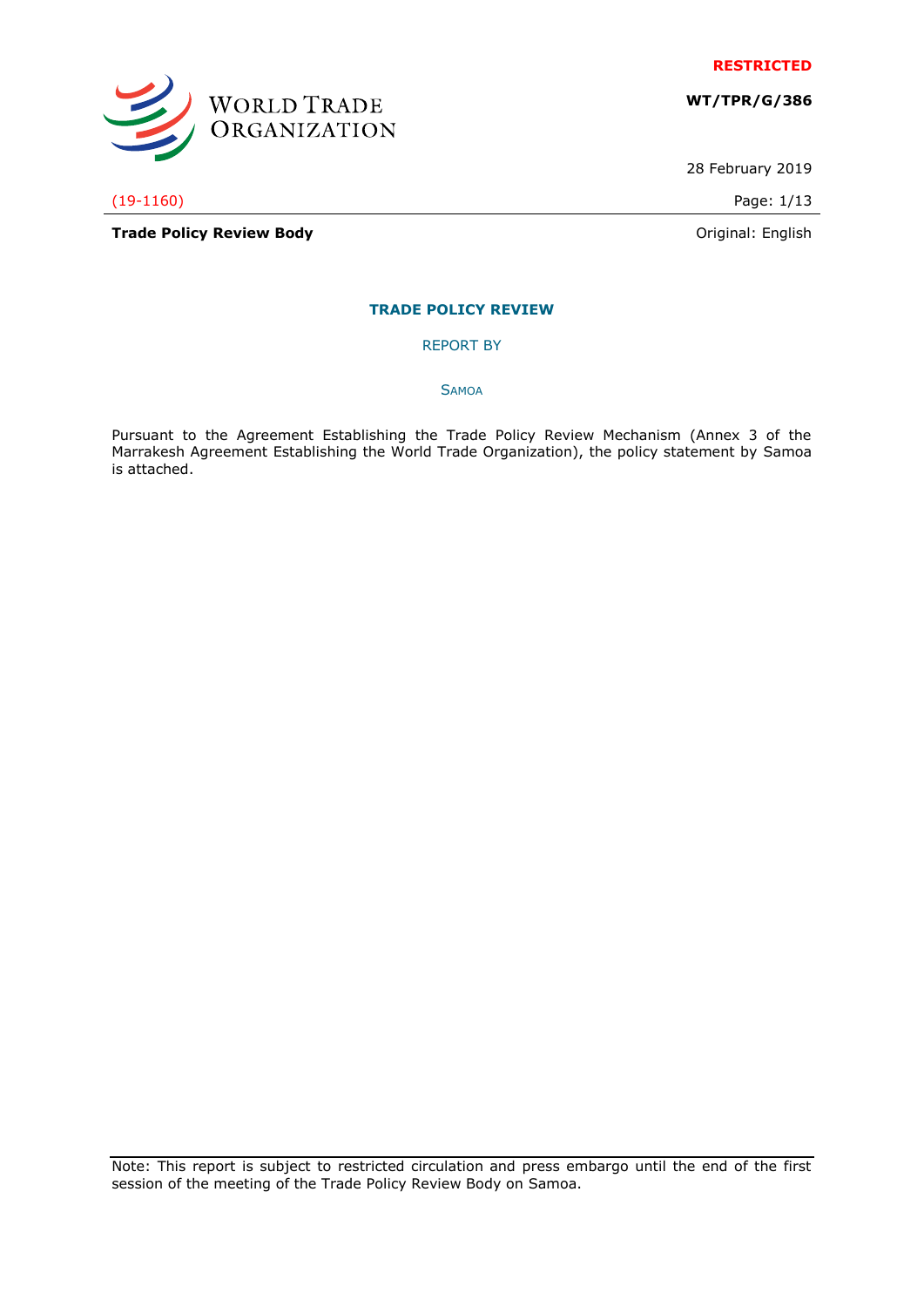

**WT/TPR/G/386**

28 February 2019

(19-1160) Page: 1/13

WORLD TRADE<br>ORGANIZATION

**Trade Policy Review Body Contract Contract Contract Contract Contract Contract Contract Contract Contract Contract Contract Contract Contract Contract Contract Contract Contract Contract Contract Contract Contract Contr** 

# **TRADE POLICY REVIEW**

REPORT BY

**SAMOA** 

Pursuant to the Agreement Establishing the Trade Policy Review Mechanism (Annex 3 of the Marrakesh Agreement Establishing the World Trade Organization), the policy statement by Samoa is attached.

Note: This report is subject to restricted circulation and press embargo until the end of the first session of the meeting of the Trade Policy Review Body on Samoa.

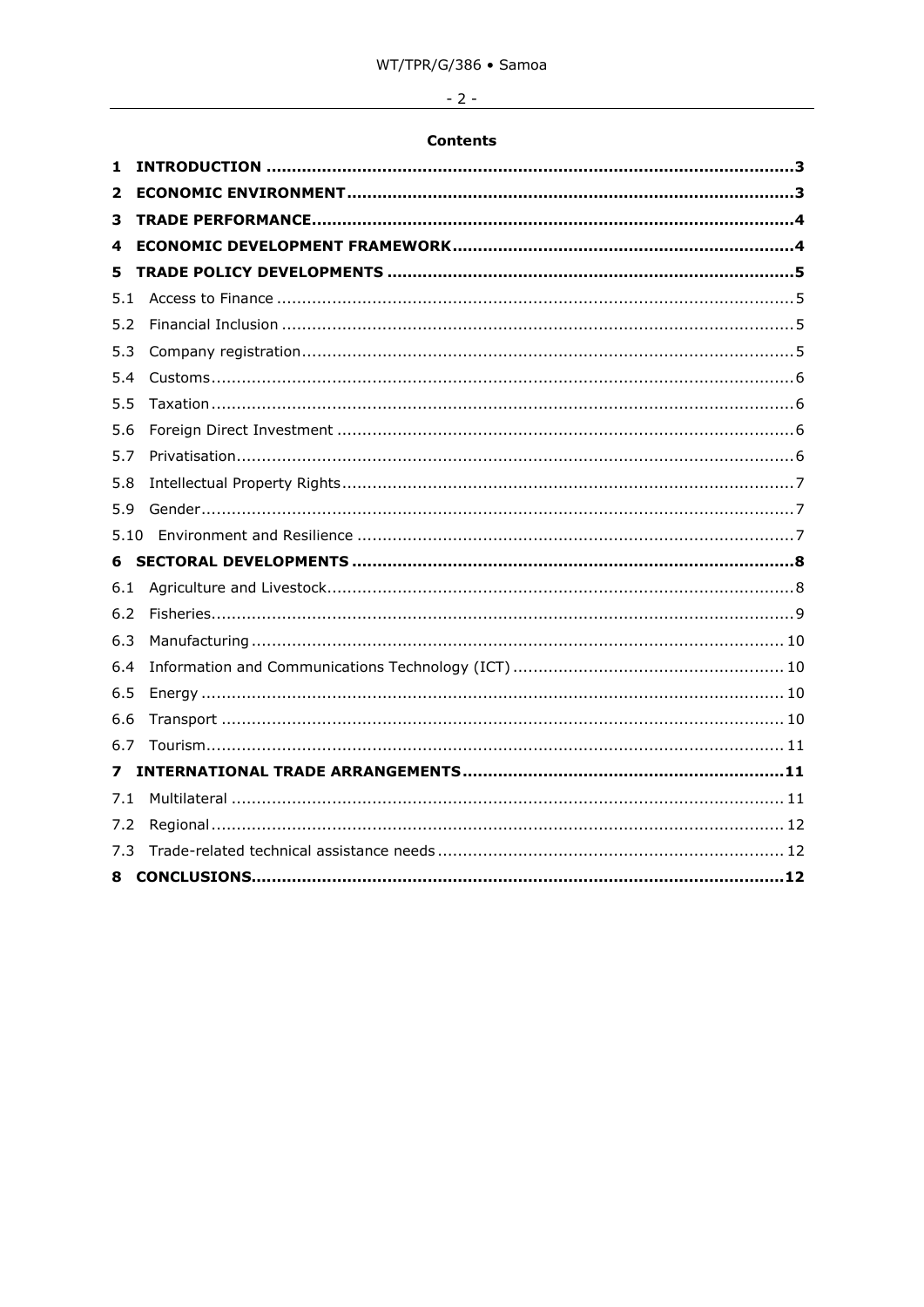# $-2-$

# **Contents**

| 1   |  |
|-----|--|
| 2   |  |
| з   |  |
| 4   |  |
| 5   |  |
| 5.1 |  |
| 5.2 |  |
| 5.3 |  |
| 5.4 |  |
| 5.5 |  |
| 5.6 |  |
| 5.7 |  |
| 5.8 |  |
| 5.9 |  |
|     |  |
|     |  |
| 6.1 |  |
| 6.2 |  |
| 6.3 |  |
| 6.4 |  |
| 6.5 |  |
| 6.6 |  |
| 6.7 |  |
| 7   |  |
| 7.1 |  |
| 7.2 |  |
| 7.3 |  |
| 8   |  |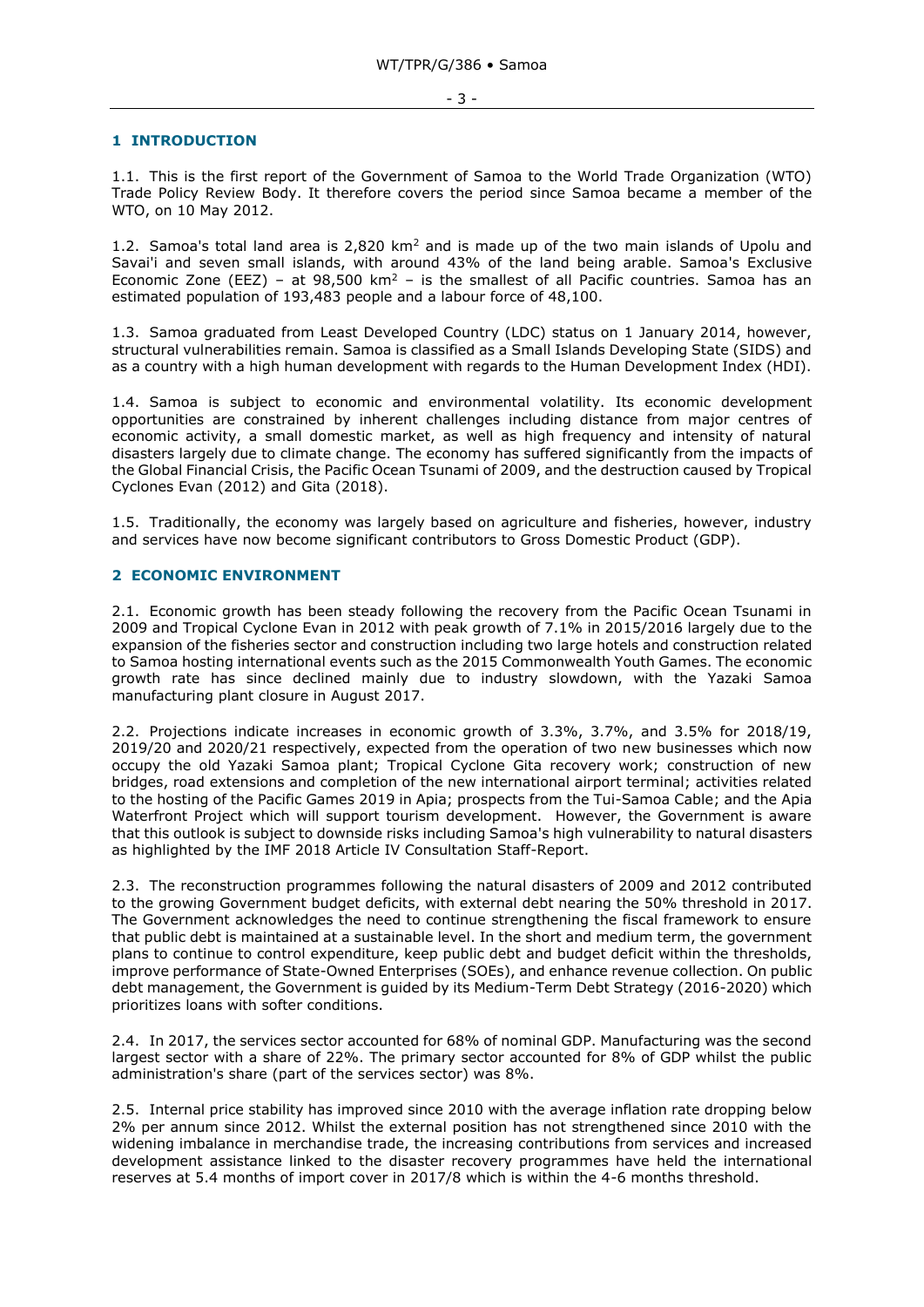#### <span id="page-2-0"></span>**1 INTRODUCTION**

1.1. This is the first report of the Government of Samoa to the World Trade Organization (WTO) Trade Policy Review Body. It therefore covers the period since Samoa became a member of the WTO, on 10 May 2012.

1.2. Samoa's total land area is 2,820 km<sup>2</sup> and is made up of the two main islands of Upolu and Savai'i and seven small islands, with around 43% of the land being arable. Samoa's Exclusive Economic Zone (EEZ) – at 98,500 km<sup>2</sup> – is the smallest of all Pacific countries. Samoa has an estimated population of 193,483 people and a labour force of 48,100.

1.3. Samoa graduated from Least Developed Country (LDC) status on 1 January 2014, however, structural vulnerabilities remain. Samoa is classified as a Small Islands Developing State (SIDS) and as a country with a high human development with regards to the Human Development Index (HDI).

1.4. Samoa is subject to economic and environmental volatility. Its economic development opportunities are constrained by inherent challenges including distance from major centres of economic activity, a small domestic market, as well as high frequency and intensity of natural disasters largely due to climate change. The economy has suffered significantly from the impacts of the Global Financial Crisis, the Pacific Ocean Tsunami of 2009, and the destruction caused by Tropical Cyclones Evan (2012) and Gita (2018).

1.5. Traditionally, the economy was largely based on agriculture and fisheries, however, industry and services have now become significant contributors to Gross Domestic Product (GDP).

#### <span id="page-2-1"></span>**2 ECONOMIC ENVIRONMENT**

2.1. Economic growth has been steady following the recovery from the Pacific Ocean Tsunami in 2009 and Tropical Cyclone Evan in 2012 with peak growth of 7.1% in 2015/2016 largely due to the expansion of the fisheries sector and construction including two large hotels and construction related to Samoa hosting international events such as the 2015 Commonwealth Youth Games. The economic growth rate has since declined mainly due to industry slowdown, with the Yazaki Samoa manufacturing plant closure in August 2017.

2.2. Projections indicate increases in economic growth of 3.3%, 3.7%, and 3.5% for 2018/19, 2019/20 and 2020/21 respectively, expected from the operation of two new businesses which now occupy the old Yazaki Samoa plant; Tropical Cyclone Gita recovery work; construction of new bridges, road extensions and completion of the new international airport terminal; activities related to the hosting of the Pacific Games 2019 in Apia; prospects from the Tui-Samoa Cable; and the Apia Waterfront Project which will support tourism development. However, the Government is aware that this outlook is subject to downside risks including Samoa's high vulnerability to natural disasters as highlighted by the IMF 2018 Article IV Consultation Staff-Report.

2.3. The reconstruction programmes following the natural disasters of 2009 and 2012 contributed to the growing Government budget deficits, with external debt nearing the 50% threshold in 2017. The Government acknowledges the need to continue strengthening the fiscal framework to ensure that public debt is maintained at a sustainable level. In the short and medium term, the government plans to continue to control expenditure, keep public debt and budget deficit within the thresholds, improve performance of State-Owned Enterprises (SOEs), and enhance revenue collection. On public debt management, the Government is guided by its Medium-Term Debt Strategy (2016-2020) which prioritizes loans with softer conditions.

2.4. In 2017, the services sector accounted for 68% of nominal GDP. Manufacturing was the second largest sector with a share of 22%. The primary sector accounted for 8% of GDP whilst the public administration's share (part of the services sector) was 8%.

2.5. Internal price stability has improved since 2010 with the average inflation rate dropping below 2% per annum since 2012. Whilst the external position has not strengthened since 2010 with the widening imbalance in merchandise trade, the increasing contributions from services and increased development assistance linked to the disaster recovery programmes have held the international reserves at 5.4 months of import cover in 2017/8 which is within the 4-6 months threshold.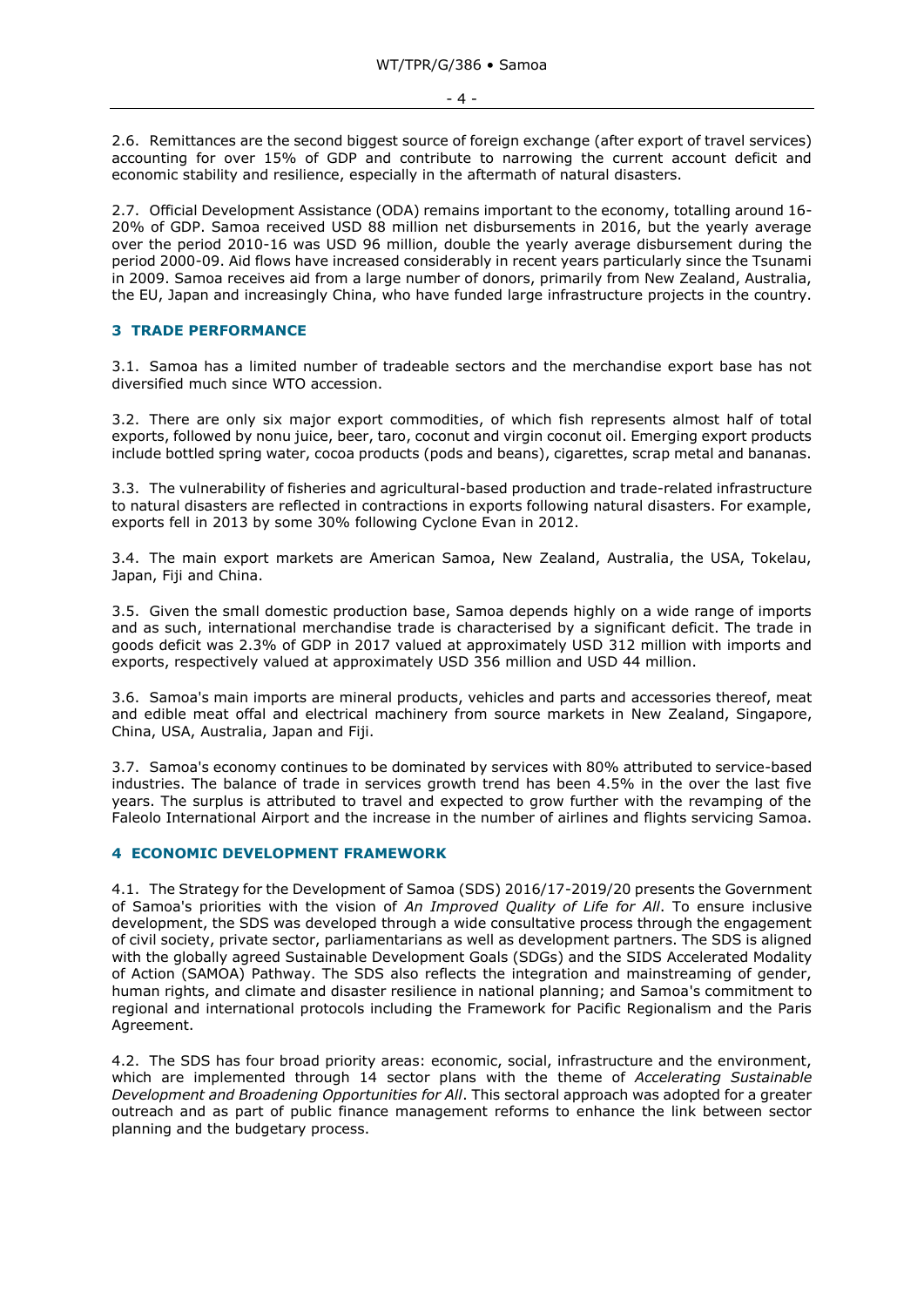2.6. Remittances are the second biggest source of foreign exchange (after export of travel services) accounting for over 15% of GDP and contribute to narrowing the current account deficit and economic stability and resilience, especially in the aftermath of natural disasters.

2.7. Official Development Assistance (ODA) remains important to the economy, totalling around 16- 20% of GDP. Samoa received USD 88 million net disbursements in 2016, but the yearly average over the period 2010-16 was USD 96 million, double the yearly average disbursement during the period 2000-09. Aid flows have increased considerably in recent years particularly since the Tsunami in 2009. Samoa receives aid from a large number of donors, primarily from New Zealand, Australia, the EU, Japan and increasingly China, who have funded large infrastructure projects in the country.

## <span id="page-3-0"></span>**3 TRADE PERFORMANCE**

3.1. Samoa has a limited number of tradeable sectors and the merchandise export base has not diversified much since WTO accession.

3.2. There are only six major export commodities, of which fish represents almost half of total exports, followed by nonu juice, beer, taro, coconut and virgin coconut oil. Emerging export products include bottled spring water, cocoa products (pods and beans), cigarettes, scrap metal and bananas.

3.3. The vulnerability of fisheries and agricultural-based production and trade-related infrastructure to natural disasters are reflected in contractions in exports following natural disasters. For example, exports fell in 2013 by some 30% following Cyclone Evan in 2012.

3.4. The main export markets are American Samoa, New Zealand, Australia, the USA, Tokelau, Japan, Fiji and China.

3.5. Given the small domestic production base, Samoa depends highly on a wide range of imports and as such, international merchandise trade is characterised by a significant deficit. The trade in goods deficit was 2.3% of GDP in 2017 valued at approximately USD 312 million with imports and exports, respectively valued at approximately USD 356 million and USD 44 million.

3.6. Samoa's main imports are mineral products, vehicles and parts and accessories thereof, meat and edible meat offal and electrical machinery from source markets in New Zealand, Singapore, China, USA, Australia, Japan and Fiji.

3.7. Samoa's economy continues to be dominated by services with 80% attributed to service-based industries. The balance of trade in services growth trend has been 4.5% in the over the last five years. The surplus is attributed to travel and expected to grow further with the revamping of the Faleolo International Airport and the increase in the number of airlines and flights servicing Samoa.

#### <span id="page-3-1"></span>**4 ECONOMIC DEVELOPMENT FRAMEWORK**

4.1. The Strategy for the Development of Samoa (SDS) 2016/17-2019/20 presents the Government of Samoa's priorities with the vision of *An Improved Quality of Life for All*. To ensure inclusive development, the SDS was developed through a wide consultative process through the engagement of civil society, private sector, parliamentarians as well as development partners. The SDS is aligned with the globally agreed Sustainable Development Goals (SDGs) and the SIDS Accelerated Modality of Action (SAMOA) Pathway. The SDS also reflects the integration and mainstreaming of gender, human rights, and climate and disaster resilience in national planning; and Samoa's commitment to regional and international protocols including the Framework for Pacific Regionalism and the Paris Agreement.

4.2. The SDS has four broad priority areas: economic, social, infrastructure and the environment, which are implemented through 14 sector plans with the theme of *Accelerating Sustainable Development and Broadening Opportunities for All*. This sectoral approach was adopted for a greater outreach and as part of public finance management reforms to enhance the link between sector planning and the budgetary process.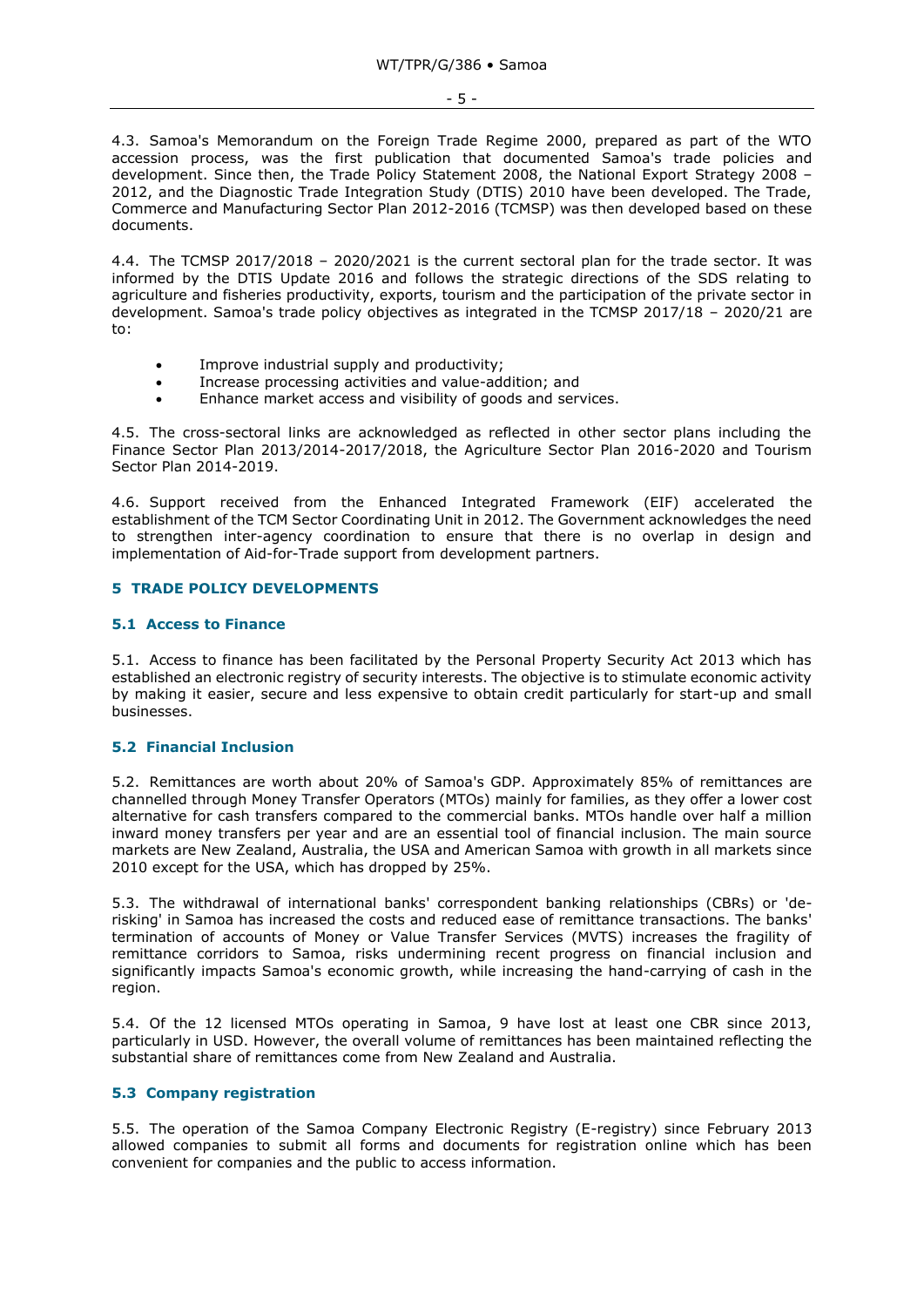4.3. Samoa's Memorandum on the Foreign Trade Regime 2000, prepared as part of the WTO accession process, was the first publication that documented Samoa's trade policies and development. Since then, the Trade Policy Statement 2008, the National Export Strategy 2008 – 2012, and the Diagnostic Trade Integration Study (DTIS) 2010 have been developed. The Trade, Commerce and Manufacturing Sector Plan 2012-2016 (TCMSP) was then developed based on these documents.

4.4. The TCMSP 2017/2018 – 2020/2021 is the current sectoral plan for the trade sector. It was informed by the DTIS Update 2016 and follows the strategic directions of the SDS relating to agriculture and fisheries productivity, exports, tourism and the participation of the private sector in development. Samoa's trade policy objectives as integrated in the TCMSP 2017/18 – 2020/21 are to:

- Improve industrial supply and productivity;
- Increase processing activities and value-addition; and
- Enhance market access and visibility of goods and services.

4.5. The cross-sectoral links are acknowledged as reflected in other sector plans including the Finance Sector Plan 2013/2014-2017/2018, the Agriculture Sector Plan 2016-2020 and Tourism Sector Plan 2014-2019.

4.6. Support received from the Enhanced Integrated Framework (EIF) accelerated the establishment of the TCM Sector Coordinating Unit in 2012. The Government acknowledges the need to strengthen inter-agency coordination to ensure that there is no overlap in design and implementation of Aid-for-Trade support from development partners.

## <span id="page-4-0"></span>**5 TRADE POLICY DEVELOPMENTS**

#### <span id="page-4-1"></span>**5.1 Access to Finance**

5.1. Access to finance has been facilitated by the Personal Property Security Act 2013 which has established an electronic registry of security interests. The objective is to stimulate economic activity by making it easier, secure and less expensive to obtain credit particularly for start-up and small businesses.

## <span id="page-4-2"></span>**5.2 Financial Inclusion**

5.2. Remittances are worth about 20% of Samoa's GDP. Approximately 85% of remittances are channelled through Money Transfer Operators (MTOs) mainly for families, as they offer a lower cost alternative for cash transfers compared to the commercial banks. MTOs handle over half a million inward money transfers per year and are an essential tool of financial inclusion. The main source markets are New Zealand, Australia, the USA and American Samoa with growth in all markets since 2010 except for the USA, which has dropped by 25%.

5.3. The withdrawal of international banks' correspondent banking relationships (CBRs) or 'derisking' in Samoa has increased the costs and reduced ease of remittance transactions. The banks' termination of accounts of Money or Value Transfer Services (MVTS) increases the fragility of remittance corridors to Samoa, risks undermining recent progress on financial inclusion and significantly impacts Samoa's economic growth, while increasing the hand-carrying of cash in the region.

5.4. Of the 12 licensed MTOs operating in Samoa, 9 have lost at least one CBR since 2013, particularly in USD. However, the overall volume of remittances has been maintained reflecting the substantial share of remittances come from New Zealand and Australia.

# <span id="page-4-3"></span>**5.3 Company registration**

5.5. The operation of the Samoa Company Electronic Registry (E-registry) since February 2013 allowed companies to submit all forms and documents for registration online which has been convenient for companies and the public to access information.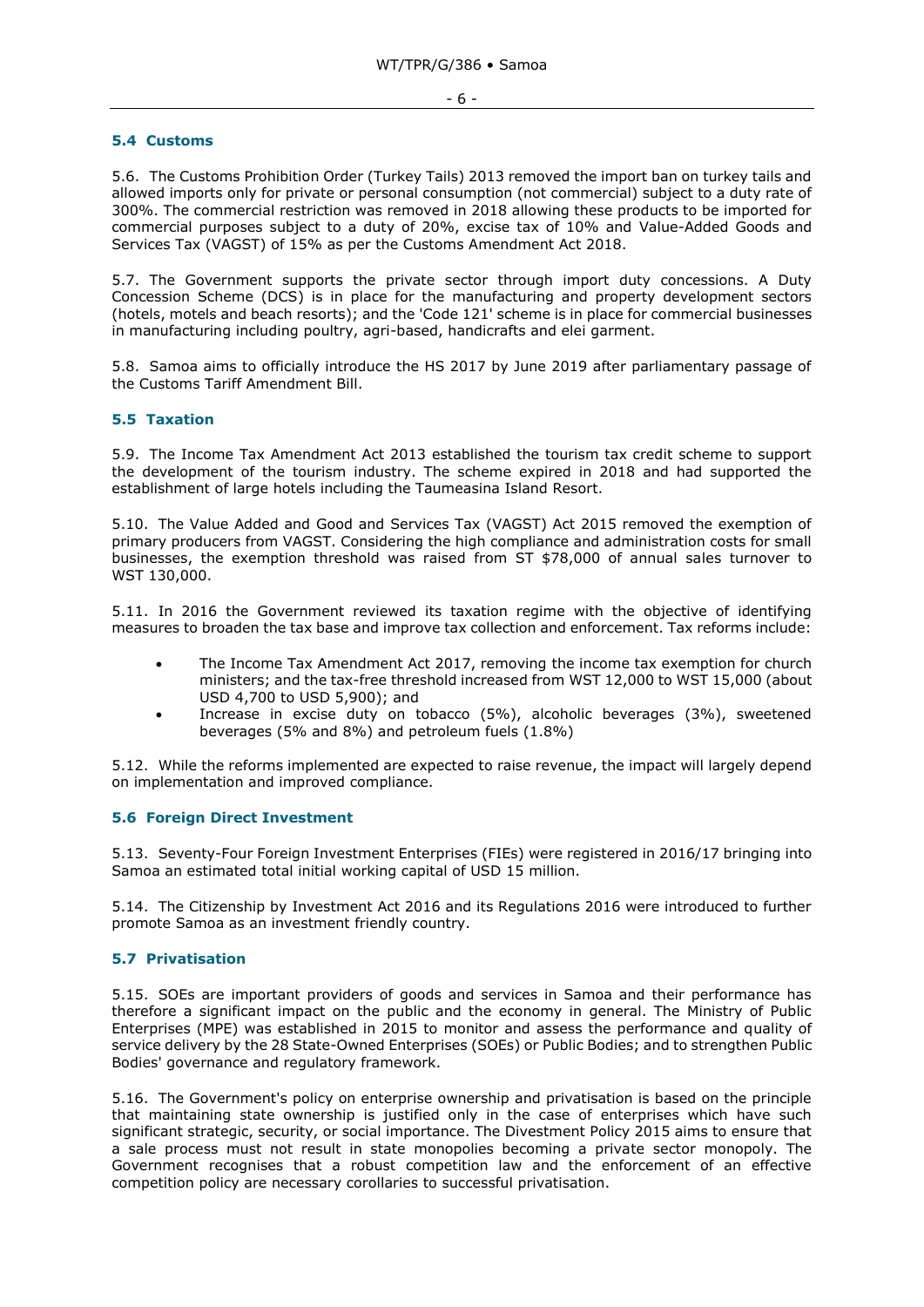#### <span id="page-5-0"></span>**5.4 Customs**

5.6. The Customs Prohibition Order (Turkey Tails) 2013 removed the import ban on turkey tails and allowed imports only for private or personal consumption (not commercial) subject to a duty rate of 300%. The commercial restriction was removed in 2018 allowing these products to be imported for commercial purposes subject to a duty of 20%, excise tax of 10% and Value-Added Goods and Services Tax (VAGST) of 15% as per the Customs Amendment Act 2018.

5.7. The Government supports the private sector through import duty concessions. A Duty Concession Scheme (DCS) is in place for the manufacturing and property development sectors (hotels, motels and beach resorts); and the 'Code 121' scheme is in place for commercial businesses in manufacturing including poultry, agri-based, handicrafts and elei garment.

5.8. Samoa aims to officially introduce the HS 2017 by June 2019 after parliamentary passage of the Customs Tariff Amendment Bill.

#### <span id="page-5-1"></span>**5.5 Taxation**

5.9. The Income Tax Amendment Act 2013 established the tourism tax credit scheme to support the development of the tourism industry. The scheme expired in 2018 and had supported the establishment of large hotels including the Taumeasina Island Resort.

5.10. The Value Added and Good and Services Tax (VAGST) Act 2015 removed the exemption of primary producers from VAGST. Considering the high compliance and administration costs for small businesses, the exemption threshold was raised from ST \$78,000 of annual sales turnover to WST 130,000.

5.11. In 2016 the Government reviewed its taxation regime with the objective of identifying measures to broaden the tax base and improve tax collection and enforcement. Tax reforms include:

- The Income Tax Amendment Act 2017, removing the income tax exemption for church ministers; and the tax-free threshold increased from WST 12,000 to WST 15,000 (about USD 4,700 to USD 5,900); and
- Increase in excise duty on tobacco (5%), alcoholic beverages (3%), sweetened beverages (5% and 8%) and petroleum fuels (1.8%)

5.12. While the reforms implemented are expected to raise revenue, the impact will largely depend on implementation and improved compliance.

#### <span id="page-5-2"></span>**5.6 Foreign Direct Investment**

5.13. Seventy-Four Foreign Investment Enterprises (FIEs) were registered in 2016/17 bringing into Samoa an estimated total initial working capital of USD 15 million.

5.14. The Citizenship by Investment Act 2016 and its Regulations 2016 were introduced to further promote Samoa as an investment friendly country.

#### <span id="page-5-3"></span>**5.7 Privatisation**

5.15. SOEs are important providers of goods and services in Samoa and their performance has therefore a significant impact on the public and the economy in general. The Ministry of Public Enterprises (MPE) was established in 2015 to monitor and assess the performance and quality of service delivery by the 28 State-Owned Enterprises (SOEs) or Public Bodies; and to strengthen Public Bodies' governance and regulatory framework.

5.16. The Government's policy on enterprise ownership and privatisation is based on the principle that maintaining state ownership is justified only in the case of enterprises which have such significant strategic, security, or social importance. The Divestment Policy 2015 aims to ensure that a sale process must not result in state monopolies becoming a private sector monopoly. The Government recognises that a robust competition law and the enforcement of an effective competition policy are necessary corollaries to successful privatisation.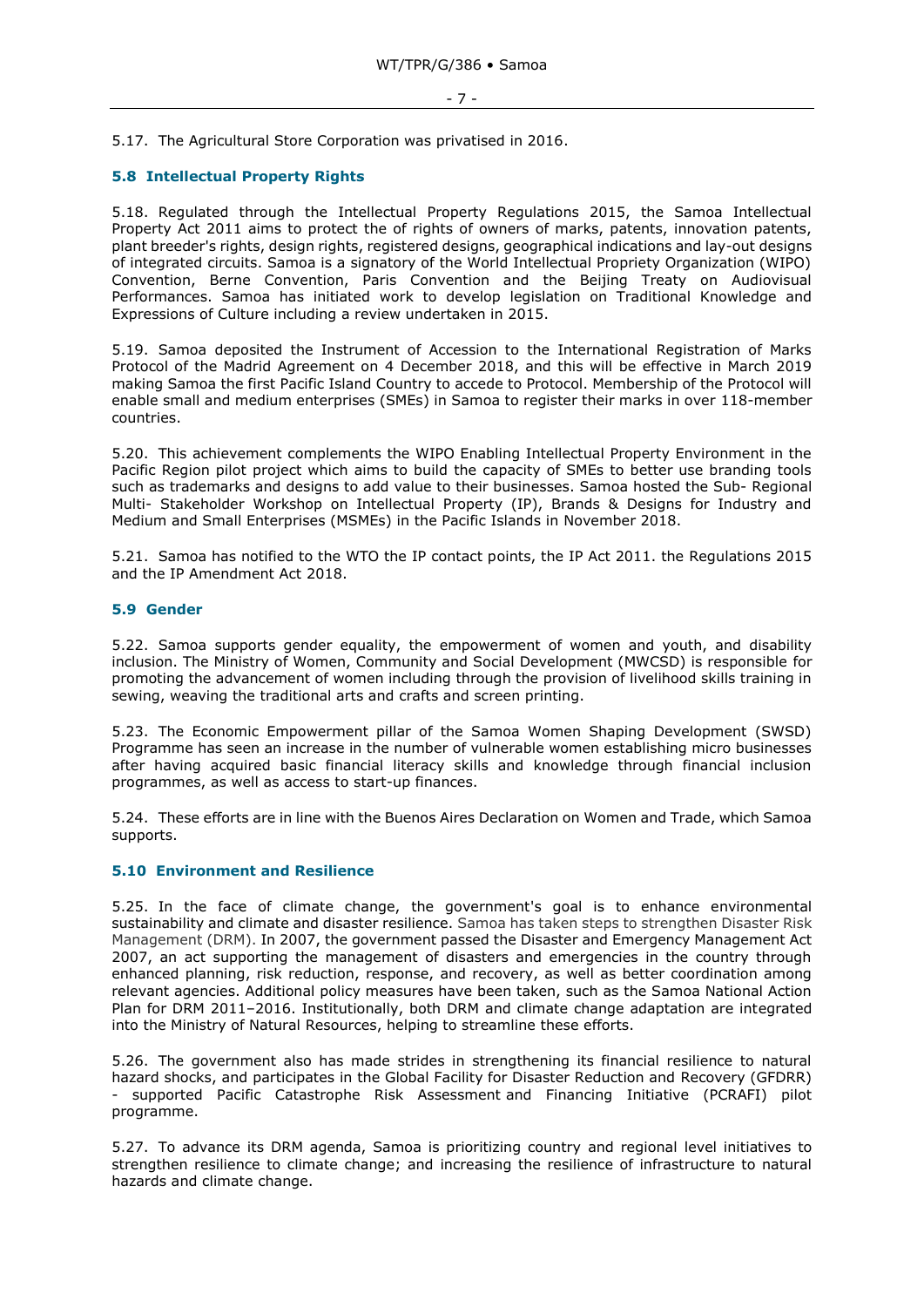5.17. The Agricultural Store Corporation was privatised in 2016.

#### <span id="page-6-0"></span>**5.8 Intellectual Property Rights**

5.18. Regulated through the Intellectual Property Regulations 2015, the Samoa Intellectual Property Act 2011 aims to protect the of rights of owners of marks, patents, innovation patents, plant breeder's rights, design rights, registered designs, geographical indications and lay-out designs of integrated circuits. Samoa is a signatory of the World Intellectual Propriety Organization (WIPO) Convention, Berne Convention, Paris Convention and the Beijing Treaty on Audiovisual Performances. Samoa has initiated work to develop legislation on Traditional Knowledge and Expressions of Culture including a review undertaken in 2015.

5.19. Samoa deposited the Instrument of Accession to the International Registration of Marks Protocol of the Madrid Agreement on 4 December 2018, and this will be effective in March 2019 making Samoa the first Pacific Island Country to accede to Protocol. Membership of the Protocol will enable small and medium enterprises (SMEs) in Samoa to register their marks in over 118-member countries.

5.20. This achievement complements the WIPO Enabling Intellectual Property Environment in the Pacific Region pilot project which aims to build the capacity of SMEs to better use branding tools such as trademarks and designs to add value to their businesses. Samoa hosted the Sub- Regional Multi- Stakeholder Workshop on Intellectual Property (IP), Brands & Designs for Industry and Medium and Small Enterprises (MSMEs) in the Pacific Islands in November 2018.

5.21. Samoa has notified to the WTO the IP contact points, the IP Act 2011. the Regulations 2015 and the IP Amendment Act 2018.

#### <span id="page-6-1"></span>**5.9 Gender**

5.22. Samoa supports gender equality, the empowerment of women and youth, and disability inclusion. The Ministry of Women, Community and Social Development (MWCSD) is responsible for promoting the advancement of women including through the provision of livelihood skills training in sewing, weaving the traditional arts and crafts and screen printing.

5.23. The Economic Empowerment pillar of the Samoa Women Shaping Development (SWSD) Programme has seen an increase in the number of vulnerable women establishing micro businesses after having acquired basic financial literacy skills and knowledge through financial inclusion programmes, as well as access to start-up finances.

5.24. These efforts are in line with the Buenos Aires Declaration on Women and Trade, which Samoa supports.

#### <span id="page-6-2"></span>**5.10 Environment and Resilience**

5.25. In the face of climate change, the government's goal is to enhance environmental sustainability and climate and disaster resilience. Samoa has taken steps to strengthen Disaster Risk Management (DRM). In 2007, the government passed the Disaster and Emergency Management Act 2007, an act supporting the management of disasters and emergencies in the country through enhanced planning, risk reduction, response, and recovery, as well as better coordination among relevant agencies. Additional policy measures have been taken, such as the Samoa National Action Plan for DRM 2011–2016. Institutionally, both DRM and climate change adaptation are integrated into the Ministry of Natural Resources, helping to streamline these efforts.

5.26. The government also has made strides in strengthening its financial resilience to natural hazard shocks, and participates in the Global Facility for Disaster Reduction and Recovery (GFDRR) - supported Pacific Catastrophe Risk Assessment and Financing Initiative (PCRAFI) pilot programme.

5.27. To advance its DRM agenda, Samoa is prioritizing country and regional level initiatives to strengthen resilience to climate change; and increasing the resilience of infrastructure to natural hazards and climate change.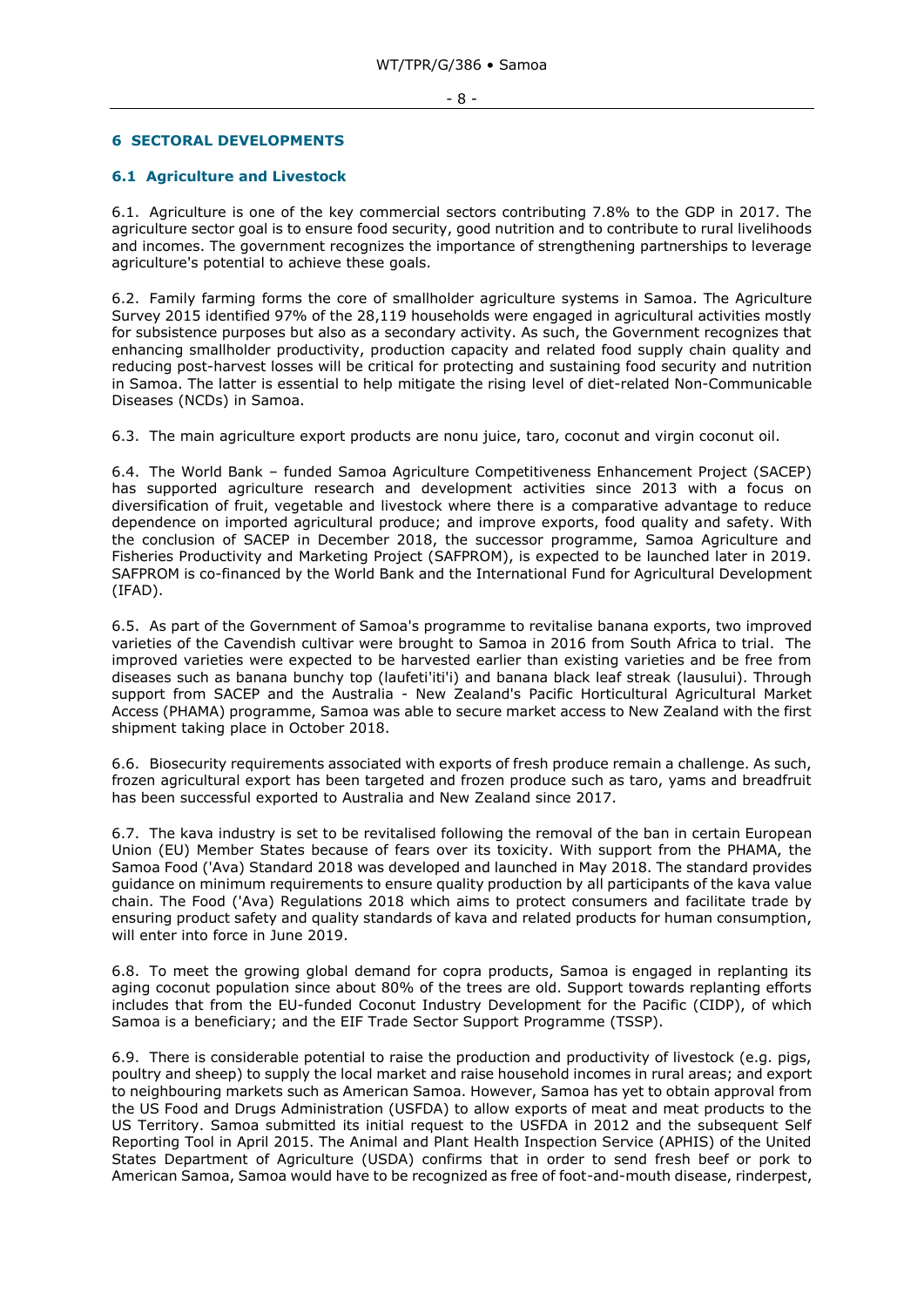#### <span id="page-7-0"></span>**6 SECTORAL DEVELOPMENTS**

### <span id="page-7-1"></span>**6.1 Agriculture and Livestock**

6.1. Agriculture is one of the key commercial sectors contributing 7.8% to the GDP in 2017. The agriculture sector goal is to ensure food security, good nutrition and to contribute to rural livelihoods and incomes. The government recognizes the importance of strengthening partnerships to leverage agriculture's potential to achieve these goals.

6.2. Family farming forms the core of smallholder agriculture systems in Samoa. The Agriculture Survey 2015 identified 97% of the 28,119 households were engaged in agricultural activities mostly for subsistence purposes but also as a secondary activity. As such, the Government recognizes that enhancing smallholder productivity, production capacity and related food supply chain quality and reducing post-harvest losses will be critical for protecting and sustaining food security and nutrition in Samoa. The latter is essential to help mitigate the rising level of diet-related Non-Communicable Diseases (NCDs) in Samoa.

6.3. The main agriculture export products are nonu juice, taro, coconut and virgin coconut oil.

6.4. The World Bank – funded Samoa Agriculture Competitiveness Enhancement Project (SACEP) has supported agriculture research and development activities since 2013 with a focus on diversification of fruit, vegetable and livestock where there is a comparative advantage to reduce dependence on imported agricultural produce; and improve exports, food quality and safety. With the conclusion of SACEP in December 2018, the successor programme, Samoa Agriculture and Fisheries Productivity and Marketing Project (SAFPROM), is expected to be launched later in 2019. SAFPROM is co-financed by the World Bank and the International Fund for Agricultural Development (IFAD).

6.5. As part of the Government of Samoa's programme to revitalise banana exports, two improved varieties of the Cavendish cultivar were brought to Samoa in 2016 from South Africa to trial. The improved varieties were expected to be harvested earlier than existing varieties and be free from diseases such as banana bunchy top (laufeti'iti'i) and banana black leaf streak (lausului). Through support from SACEP and the Australia - New Zealand's Pacific Horticultural Agricultural Market Access (PHAMA) programme, Samoa was able to secure market access to New Zealand with the first shipment taking place in October 2018.

6.6. Biosecurity requirements associated with exports of fresh produce remain a challenge. As such, frozen agricultural export has been targeted and frozen produce such as taro, yams and breadfruit has been successful exported to Australia and New Zealand since 2017.

6.7. The kava industry is set to be revitalised following the removal of the ban in certain European Union (EU) Member States because of fears over its toxicity. With support from the PHAMA, the Samoa Food ('Ava) Standard 2018 was developed and launched in May 2018. The standard provides guidance on minimum requirements to ensure quality production by all participants of the kava value chain. The Food ('Ava) Regulations 2018 which aims to protect consumers and facilitate trade by ensuring product safety and quality standards of kava and related products for human consumption, will enter into force in June 2019.

6.8. To meet the growing global demand for copra products, Samoa is engaged in replanting its aging coconut population since about 80% of the trees are old. Support towards replanting efforts includes that from the EU-funded Coconut Industry Development for the Pacific (CIDP), of which Samoa is a beneficiary; and the EIF Trade Sector Support Programme (TSSP).

6.9. There is considerable potential to raise the production and productivity of livestock (e.g. pigs, poultry and sheep) to supply the local market and raise household incomes in rural areas; and export to neighbouring markets such as American Samoa. However, Samoa has yet to obtain approval from the US Food and Drugs Administration (USFDA) to allow exports of meat and meat products to the US Territory. Samoa submitted its initial request to the USFDA in 2012 and the subsequent Self Reporting Tool in April 2015. The Animal and Plant Health Inspection Service (APHIS) of the United States Department of Agriculture (USDA) confirms that in order to send fresh beef or pork to American Samoa, Samoa would have to be recognized as free of foot-and-mouth disease, rinderpest,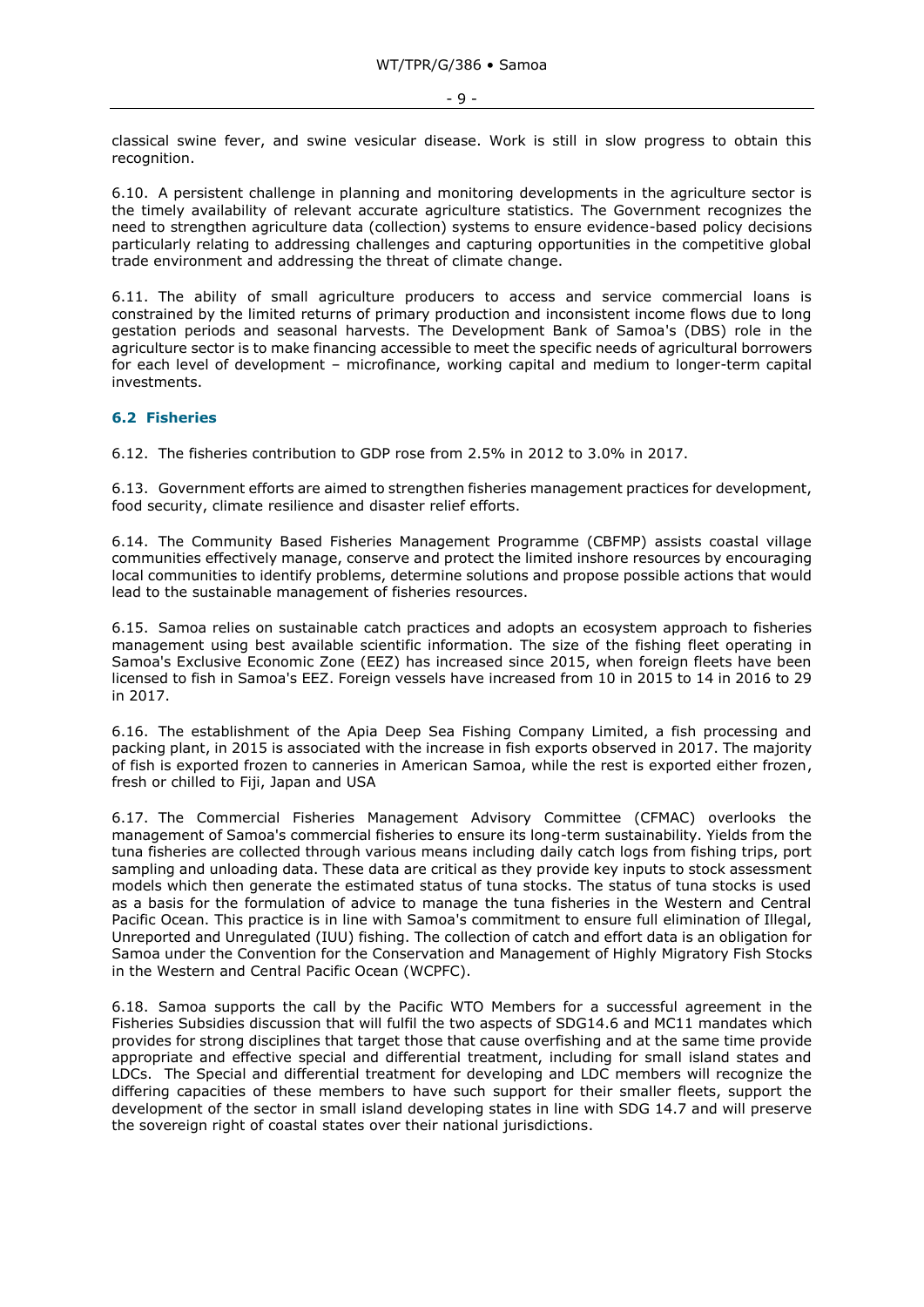classical swine fever, and swine vesicular disease. Work is still in slow progress to obtain this recognition.

6.10. A persistent challenge in planning and monitoring developments in the agriculture sector is the timely availability of relevant accurate agriculture statistics. The Government recognizes the need to strengthen agriculture data (collection) systems to ensure evidence-based policy decisions particularly relating to addressing challenges and capturing opportunities in the competitive global trade environment and addressing the threat of climate change.

6.11. The ability of small agriculture producers to access and service commercial loans is constrained by the limited returns of primary production and inconsistent income flows due to long gestation periods and seasonal harvests. The Development Bank of Samoa's (DBS) role in the agriculture sector is to make financing accessible to meet the specific needs of agricultural borrowers for each level of development – microfinance, working capital and medium to longer-term capital investments.

#### <span id="page-8-0"></span>**6.2 Fisheries**

6.12. The fisheries contribution to GDP rose from 2.5% in 2012 to 3.0% in 2017.

6.13. Government efforts are aimed to strengthen fisheries management practices for development, food security, climate resilience and disaster relief efforts.

6.14. The Community Based Fisheries Management Programme (CBFMP) assists coastal village communities effectively manage, conserve and protect the limited inshore resources by encouraging local communities to identify problems, determine solutions and propose possible actions that would lead to the sustainable management of fisheries resources.

6.15. Samoa relies on sustainable catch practices and adopts an ecosystem approach to fisheries management using best available scientific information. The size of the fishing fleet operating in Samoa's Exclusive Economic Zone (EEZ) has increased since 2015, when foreign fleets have been licensed to fish in Samoa's EEZ. Foreign vessels have increased from 10 in 2015 to 14 in 2016 to 29 in 2017.

6.16. The establishment of the Apia Deep Sea Fishing Company Limited, a fish processing and packing plant, in 2015 is associated with the increase in fish exports observed in 2017. The majority of fish is exported frozen to canneries in American Samoa, while the rest is exported either frozen, fresh or chilled to Fiji, Japan and USA

6.17. The Commercial Fisheries Management Advisory Committee (CFMAC) overlooks the management of Samoa's commercial fisheries to ensure its long-term sustainability. Yields from the tuna fisheries are collected through various means including daily catch logs from fishing trips, port sampling and unloading data. These data are critical as they provide key inputs to stock assessment models which then generate the estimated status of tuna stocks. The status of tuna stocks is used as a basis for the formulation of advice to manage the tuna fisheries in the Western and Central Pacific Ocean. This practice is in line with Samoa's commitment to ensure full elimination of Illegal, Unreported and Unregulated (IUU) fishing. The collection of catch and effort data is an obligation for Samoa under the Convention for the Conservation and Management of Highly Migratory Fish Stocks in the Western and Central Pacific Ocean (WCPFC).

6.18. Samoa supports the call by the Pacific WTO Members for a successful agreement in the Fisheries Subsidies discussion that will fulfil the two aspects of SDG14.6 and MC11 mandates which provides for strong disciplines that target those that cause overfishing and at the same time provide appropriate and effective special and differential treatment, including for small island states and LDCs. The Special and differential treatment for developing and LDC members will recognize the differing capacities of these members to have such support for their smaller fleets, support the development of the sector in small island developing states in line with SDG 14.7 and will preserve the sovereign right of coastal states over their national jurisdictions.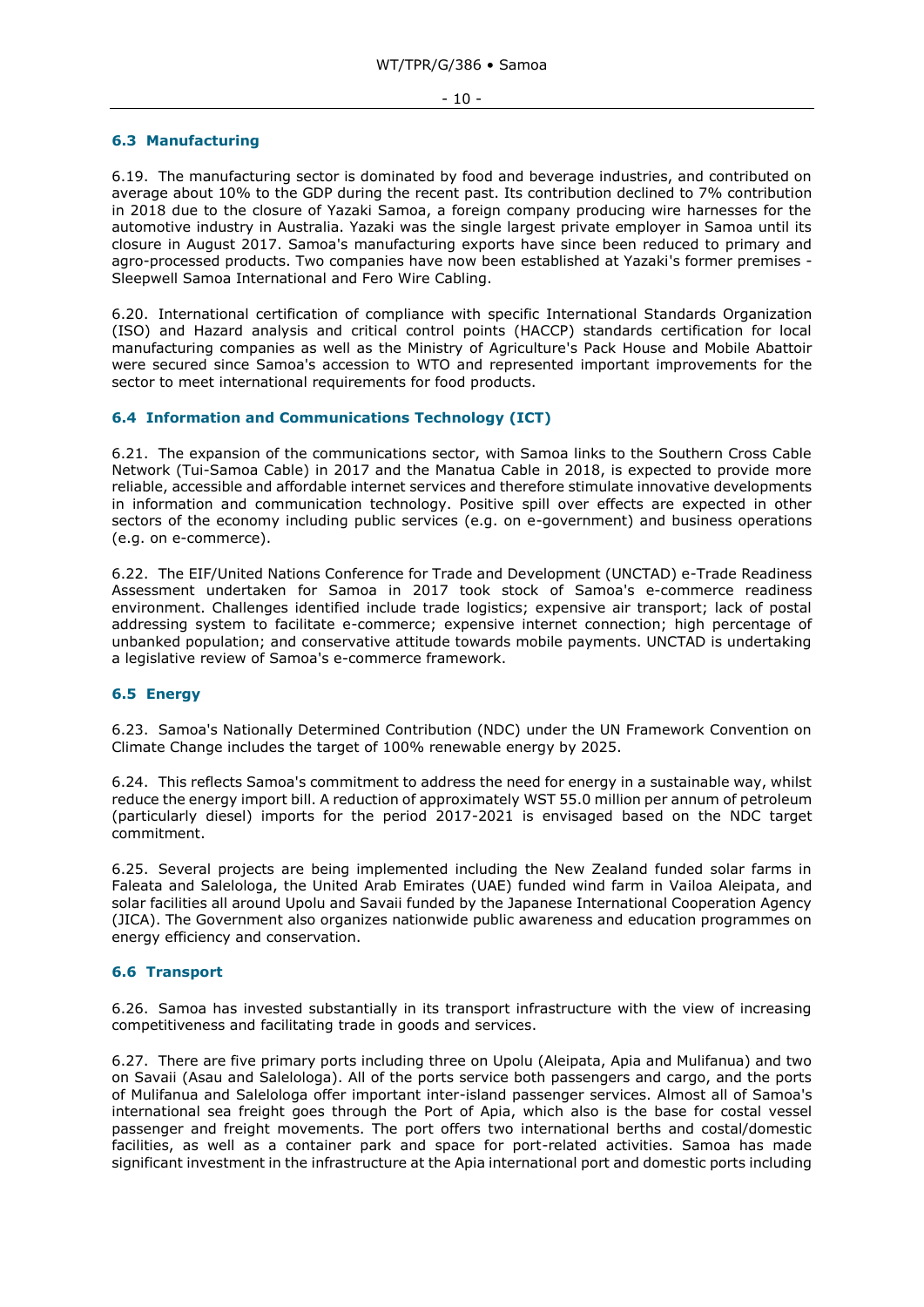#### - 10 -

## <span id="page-9-0"></span>**6.3 Manufacturing**

6.19. The manufacturing sector is dominated by food and beverage industries, and contributed on average about 10% to the GDP during the recent past. Its contribution declined to 7% contribution in 2018 due to the closure of Yazaki Samoa, a foreign company producing wire harnesses for the automotive industry in Australia. Yazaki was the single largest private employer in Samoa until its closure in August 2017. Samoa's manufacturing exports have since been reduced to primary and agro-processed products. Two companies have now been established at Yazaki's former premises - Sleepwell Samoa International and Fero Wire Cabling.

6.20. International certification of compliance with specific International Standards Organization (ISO) and Hazard analysis and critical control points (HACCP) standards certification for local manufacturing companies as well as the Ministry of Agriculture's Pack House and Mobile Abattoir were secured since Samoa's accession to WTO and represented important improvements for the sector to meet international requirements for food products.

# <span id="page-9-1"></span>**6.4 Information and Communications Technology (ICT)**

6.21. The expansion of the communications sector, with Samoa links to the Southern Cross Cable Network (Tui-Samoa Cable) in 2017 and the Manatua Cable in 2018, is expected to provide more reliable, accessible and affordable internet services and therefore stimulate innovative developments in information and communication technology. Positive spill over effects are expected in other sectors of the economy including public services (e.g. on e-government) and business operations (e.g. on e-commerce).

6.22. The EIF/United Nations Conference for Trade and Development (UNCTAD) e-Trade Readiness Assessment undertaken for Samoa in 2017 took stock of Samoa's e-commerce readiness environment. Challenges identified include trade logistics; expensive air transport; lack of postal addressing system to facilitate e-commerce; expensive internet connection; high percentage of unbanked population; and conservative attitude towards mobile payments. UNCTAD is undertaking a legislative review of Samoa's e-commerce framework.

## <span id="page-9-2"></span>**6.5 Energy**

6.23. Samoa's Nationally Determined Contribution (NDC) under the UN Framework Convention on Climate Change includes the target of 100% renewable energy by 2025.

6.24. This reflects Samoa's commitment to address the need for energy in a sustainable way, whilst reduce the energy import bill. A reduction of approximately WST 55.0 million per annum of petroleum (particularly diesel) imports for the period 2017-2021 is envisaged based on the NDC target commitment.

6.25. Several projects are being implemented including the New Zealand funded solar farms in Faleata and Salelologa, the United Arab Emirates (UAE) funded wind farm in Vailoa Aleipata, and solar facilities all around Upolu and Savaii funded by the Japanese International Cooperation Agency (JICA). The Government also organizes nationwide public awareness and education programmes on energy efficiency and conservation.

## <span id="page-9-3"></span>**6.6 Transport**

6.26. Samoa has invested substantially in its transport infrastructure with the view of increasing competitiveness and facilitating trade in goods and services.

6.27. There are five primary ports including three on Upolu (Aleipata, Apia and Mulifanua) and two on Savaii (Asau and Salelologa). All of the ports service both passengers and cargo, and the ports of Mulifanua and Salelologa offer important inter-island passenger services. Almost all of Samoa's international sea freight goes through the Port of Apia, which also is the base for costal vessel passenger and freight movements. The port offers two international berths and costal/domestic facilities, as well as a container park and space for port-related activities. Samoa has made significant investment in the infrastructure at the Apia international port and domestic ports including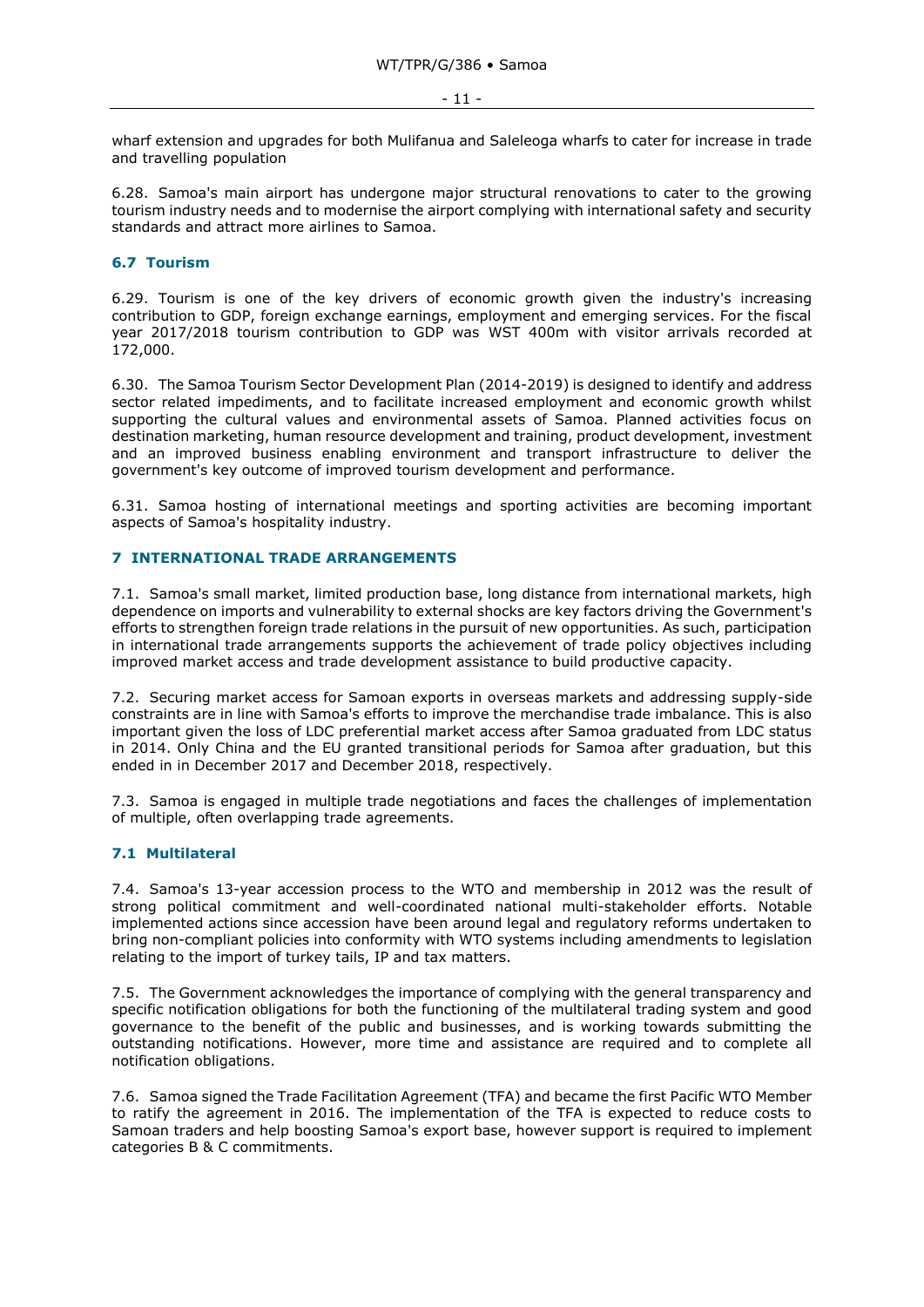wharf extension and upgrades for both Mulifanua and Saleleoga wharfs to cater for increase in trade and travelling population

6.28. Samoa's main airport has undergone major structural renovations to cater to the growing tourism industry needs and to modernise the airport complying with international safety and security standards and attract more airlines to Samoa.

## <span id="page-10-0"></span>**6.7 Tourism**

6.29. Tourism is one of the key drivers of economic growth given the industry's increasing contribution to GDP, foreign exchange earnings, employment and emerging services. For the fiscal year 2017/2018 tourism contribution to GDP was WST 400m with visitor arrivals recorded at 172,000.

6.30. The Samoa Tourism Sector Development Plan (2014-2019) is designed to identify and address sector related impediments, and to facilitate increased employment and economic growth whilst supporting the cultural values and environmental assets of Samoa. Planned activities focus on destination marketing, human resource development and training, product development, investment and an improved business enabling environment and transport infrastructure to deliver the government's key outcome of improved tourism development and performance.

6.31. Samoa hosting of international meetings and sporting activities are becoming important aspects of Samoa's hospitality industry.

## <span id="page-10-1"></span>**7 INTERNATIONAL TRADE ARRANGEMENTS**

7.1. Samoa's small market, limited production base, long distance from international markets, high dependence on imports and vulnerability to external shocks are key factors driving the Government's efforts to strengthen foreign trade relations in the pursuit of new opportunities. As such, participation in international trade arrangements supports the achievement of trade policy objectives including improved market access and trade development assistance to build productive capacity.

7.2. Securing market access for Samoan exports in overseas markets and addressing supply-side constraints are in line with Samoa's efforts to improve the merchandise trade imbalance. This is also important given the loss of LDC preferential market access after Samoa graduated from LDC status in 2014. Only China and the EU granted transitional periods for Samoa after graduation, but this ended in in December 2017 and December 2018, respectively.

7.3. Samoa is engaged in multiple trade negotiations and faces the challenges of implementation of multiple, often overlapping trade agreements.

# <span id="page-10-2"></span>**7.1 Multilateral**

7.4. Samoa's 13-year accession process to the WTO and membership in 2012 was the result of strong political commitment and well-coordinated national multi-stakeholder efforts. Notable implemented actions since accession have been around legal and regulatory reforms undertaken to bring non-compliant policies into conformity with WTO systems including amendments to legislation relating to the import of turkey tails, IP and tax matters.

7.5. The Government acknowledges the importance of complying with the general transparency and specific notification obligations for both the functioning of the multilateral trading system and good governance to the benefit of the public and businesses, and is working towards submitting the outstanding notifications. However, more time and assistance are required and to complete all notification obligations.

7.6. Samoa signed the Trade Facilitation Agreement (TFA) and became the first Pacific WTO Member to ratify the agreement in 2016. The implementation of the TFA is expected to reduce costs to Samoan traders and help boosting Samoa's export base, however support is required to implement categories B & C commitments.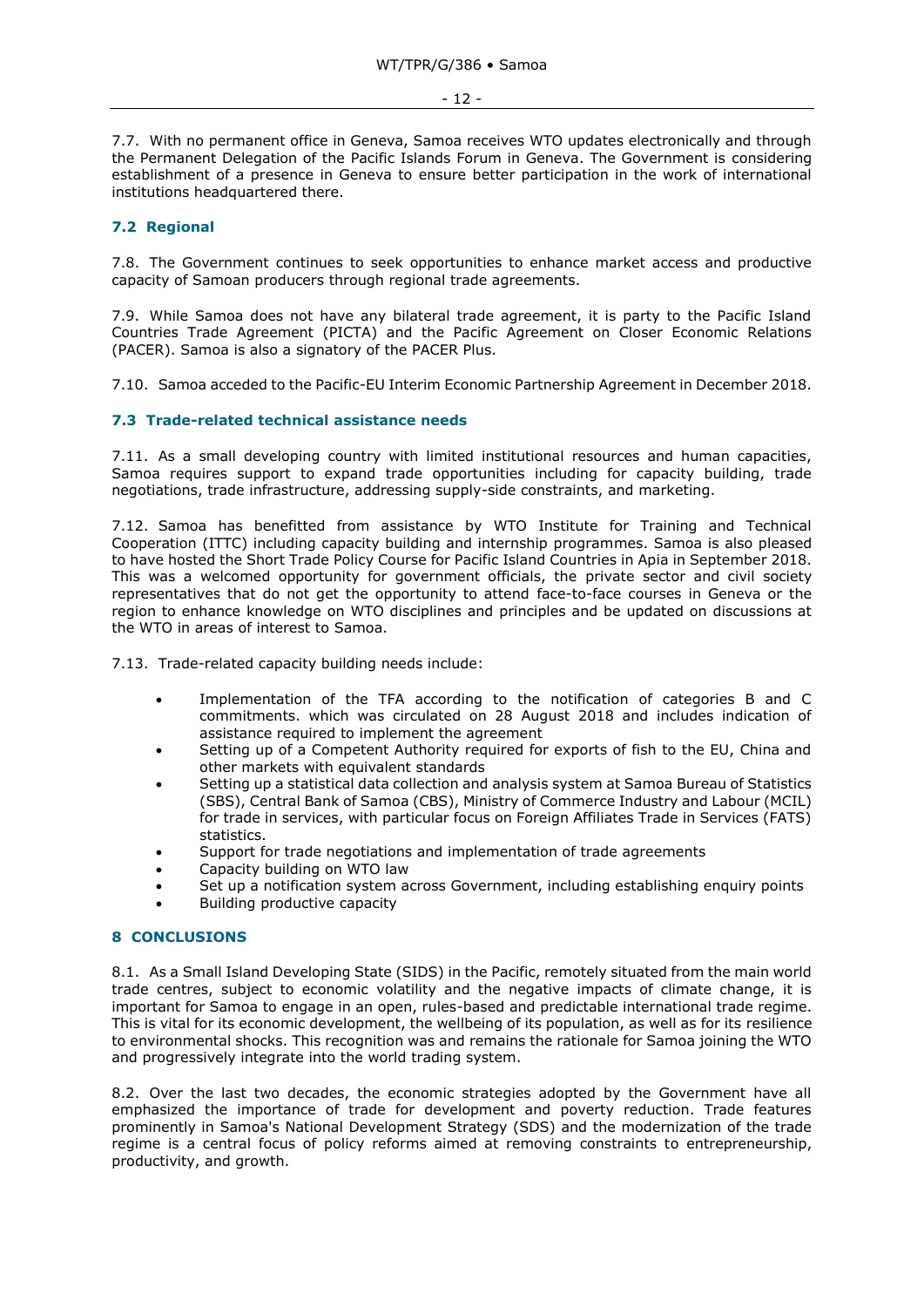7.7. With no permanent office in Geneva, Samoa receives WTO updates electronically and through the Permanent Delegation of the Pacific Islands Forum in Geneva. The Government is considering establishment of a presence in Geneva to ensure better participation in the work of international institutions headquartered there.

## <span id="page-11-0"></span>**7.2 Regional**

7.8. The Government continues to seek opportunities to enhance market access and productive capacity of Samoan producers through regional trade agreements.

7.9. While Samoa does not have any bilateral trade agreement, it is party to the Pacific Island Countries Trade Agreement (PICTA) and the Pacific Agreement on Closer Economic Relations (PACER). Samoa is also a signatory of the PACER Plus.

7.10. Samoa acceded to the Pacific-EU Interim Economic Partnership Agreement in December 2018.

## <span id="page-11-1"></span>**7.3 Trade-related technical assistance needs**

7.11. As a small developing country with limited institutional resources and human capacities, Samoa requires support to expand trade opportunities including for capacity building, trade negotiations, trade infrastructure, addressing supply-side constraints, and marketing.

7.12. Samoa has benefitted from assistance by WTO Institute for Training and Technical Cooperation (ITTC) including capacity building and internship programmes. Samoa is also pleased to have hosted the Short Trade Policy Course for Pacific Island Countries in Apia in September 2018. This was a welcomed opportunity for government officials, the private sector and civil society representatives that do not get the opportunity to attend face-to-face courses in Geneva or the region to enhance knowledge on WTO disciplines and principles and be updated on discussions at the WTO in areas of interest to Samoa.

7.13. Trade-related capacity building needs include:

- Implementation of the TFA according to the notification of categories B and C commitments. which was circulated on 28 August 2018 and includes indication of assistance required to implement the agreement
- Setting up of a Competent Authority required for exports of fish to the EU, China and other markets with equivalent standards
- Setting up a statistical data collection and analysis system at Samoa Bureau of Statistics (SBS), Central Bank of Samoa (CBS), Ministry of Commerce Industry and Labour (MCIL) for trade in services, with particular focus on Foreign Affiliates Trade in Services (FATS) statistics.
- Support for trade negotiations and implementation of trade agreements
- Capacity building on WTO law
- Set up a notification system across Government, including establishing enquiry points
- Building productive capacity

## <span id="page-11-2"></span>**8 CONCLUSIONS**

8.1. As a Small Island Developing State (SIDS) in the Pacific, remotely situated from the main world trade centres, subject to economic volatility and the negative impacts of climate change, it is important for Samoa to engage in an open, rules-based and predictable international trade regime. This is vital for its economic development, the wellbeing of its population, as well as for its resilience to environmental shocks. This recognition was and remains the rationale for Samoa joining the WTO and progressively integrate into the world trading system.

8.2. Over the last two decades, the economic strategies adopted by the Government have all emphasized the importance of trade for development and poverty reduction. Trade features prominently in Samoa's National Development Strategy (SDS) and the modernization of the trade regime is a central focus of policy reforms aimed at removing constraints to entrepreneurship, productivity, and growth.